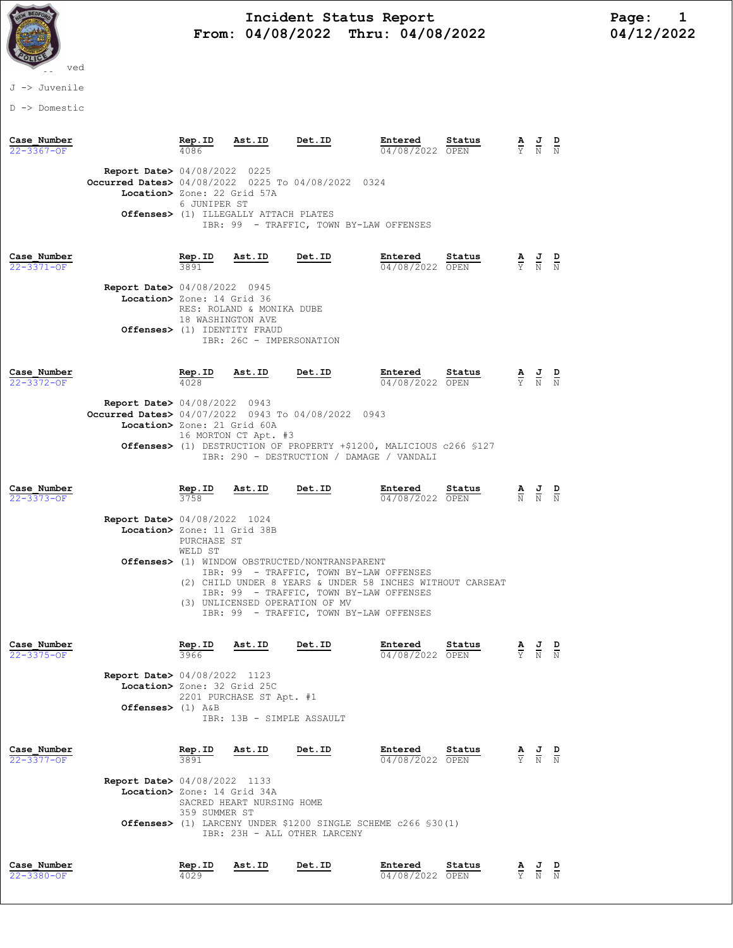

# and Incident Status Report Fage: 1 From:  $04/08/2022$  Thru:  $04/08/2022$  04/12/2022

J -> Juvenile

D -> Domestic

| Case Number<br>22-3367-OF       |                                                                                                                                       | Rep.ID<br>4086         | Ast.ID                                                | Det.ID                                                                                                                                                                                                                                       | Entered<br>04/08/2022 OPEN | Status         | $\frac{\mathbf{A}}{\mathbf{Y}}$                                 | $\frac{1}{N}$                                                                                   | $\frac{D}{N}$ |
|---------------------------------|---------------------------------------------------------------------------------------------------------------------------------------|------------------------|-------------------------------------------------------|----------------------------------------------------------------------------------------------------------------------------------------------------------------------------------------------------------------------------------------------|----------------------------|----------------|-----------------------------------------------------------------|-------------------------------------------------------------------------------------------------|---------------|
|                                 | <b>Report Date&gt;</b> 04/08/2022 0225<br><b>Occurred Dates&gt;</b> 04/08/2022 0225 To 04/08/2022 0324<br>Location> Zone: 22 Grid 57A | 6 JUNIPER ST           | Offenses> (1) ILLEGALLY ATTACH PLATES                 |                                                                                                                                                                                                                                              |                            |                |                                                                 |                                                                                                 |               |
|                                 |                                                                                                                                       |                        |                                                       | IBR: 99 - TRAFFIC, TOWN BY-LAW OFFENSES                                                                                                                                                                                                      |                            |                |                                                                 |                                                                                                 |               |
| Case Number<br>22-3371-OF       | <b>Report Date&gt;</b> 04/08/2022 0945                                                                                                | Rep.ID<br>3891         | Ast.ID                                                | Det.ID                                                                                                                                                                                                                                       | Entered<br>04/08/2022 OPEN | Status         |                                                                 | $\frac{\mathbf{A}}{\mathbf{Y}}$ $\frac{\mathbf{J}}{\mathbf{N}}$ $\frac{\mathbf{D}}{\mathbf{N}}$ |               |
|                                 | Location> Zone: 14 Grid 36<br>Offenses> (1) IDENTITY FRAUD                                                                            | 18 WASHINGTON AVE      | RES: ROLAND & MONIKA DUBE<br>IBR: 26C - IMPERSONATION |                                                                                                                                                                                                                                              |                            |                |                                                                 |                                                                                                 |               |
| Case Number<br>$22 - 3372 - OF$ |                                                                                                                                       | Rep.ID<br>4028         | Ast.ID                                                | Det.ID                                                                                                                                                                                                                                       | Entered<br>04/08/2022 OPEN | Status         |                                                                 | $\frac{\mathbf{A}}{\mathbf{Y}}$ $\frac{\mathbf{J}}{\mathbf{N}}$ $\frac{\mathbf{D}}{\mathbf{N}}$ |               |
|                                 | <b>Report Date&gt;</b> 04/08/2022 0943<br>Occurred Dates> 04/07/2022 0943 To 04/08/2022 0943<br>Location> Zone: 21 Grid 60A           |                        | 16 MORTON CT Apt. #3                                  | Offenses> (1) DESTRUCTION OF PROPERTY +\$1200, MALICIOUS c266 \$127<br>IBR: 290 - DESTRUCTION / DAMAGE / VANDALI                                                                                                                             |                            |                |                                                                 |                                                                                                 |               |
| Case Number<br>22-3373-OF       |                                                                                                                                       | Rep.ID<br>3758         | Ast.ID                                                | Det.ID                                                                                                                                                                                                                                       | Entered<br>04/08/2022 OPEN | Status         |                                                                 | $\frac{\mathbf{A}}{\mathbf{N}}$ $\frac{\mathbf{J}}{\mathbf{N}}$ $\frac{\mathbf{D}}{\mathbf{N}}$ |               |
|                                 | <b>Report Date&gt;</b> 04/08/2022 1024<br>Location> Zone: 11 Grid 38B                                                                 | PURCHASE ST<br>WELD ST | (3) UNLICENSED OPERATION OF MV                        | Offenses> (1) WINDOW OBSTRUCTED/NONTRANSPARENT<br>IBR: 99 - TRAFFIC, TOWN BY-LAW OFFENSES<br>(2) CHILD UNDER 8 YEARS & UNDER 58 INCHES WITHOUT CARSEAT<br>IBR: 99 - TRAFFIC, TOWN BY-LAW OFFENSES<br>IBR: 99 - TRAFFIC, TOWN BY-LAW OFFENSES |                            |                |                                                                 |                                                                                                 |               |
| Case Number<br>22-3375-OF       |                                                                                                                                       | Rep.ID<br>3966         | Ast.ID                                                | Det.ID                                                                                                                                                                                                                                       | Entered<br>04/08/2022 OPEN | Status         | $\frac{\mathbf{A}}{\mathbf{Y}}$ $\frac{\mathbf{J}}{\mathbf{N}}$ |                                                                                                 | $\frac{D}{N}$ |
|                                 | <b>Report Date&gt; 04/08/2022 1123</b><br>Location> Zone: 32 Grid 25C<br>Offenses> $(1)$ A&B                                          |                        | 2201 PURCHASE ST Apt. #1<br>IBR: 13B - SIMPLE ASSAULT |                                                                                                                                                                                                                                              |                            |                |                                                                 |                                                                                                 |               |
| Case Number<br>22-3377-OF       |                                                                                                                                       | Rep.ID<br>3891         | Ast.ID                                                | Det.ID                                                                                                                                                                                                                                       | Entered<br>04/08/2022 OPEN | Status         | $\frac{\mathbf{A}}{\mathbf{Y}}$                                 | $\frac{J}{N}$                                                                                   | $\frac{D}{N}$ |
|                                 | <b>Report Date&gt;</b> 04/08/2022 1133<br>Location> Zone: 14 Grid 34A                                                                 | 359 SUMMER ST          | SACRED HEART NURSING HOME                             | <b>Offenses&gt;</b> (1) LARCENY UNDER \$1200 SINGLE SCHEME c266 \$30(1)<br>IBR: 23H - ALL OTHER LARCENY                                                                                                                                      |                            |                |                                                                 |                                                                                                 |               |
| Case Number<br>22-3380-OF       |                                                                                                                                       | Rep.ID<br>4029         | Ast.ID                                                | Det.ID                                                                                                                                                                                                                                       | Entered<br>04/08/2022      | Status<br>OPEN |                                                                 | $\frac{1}{N}$                                                                                   | $\frac{D}{N}$ |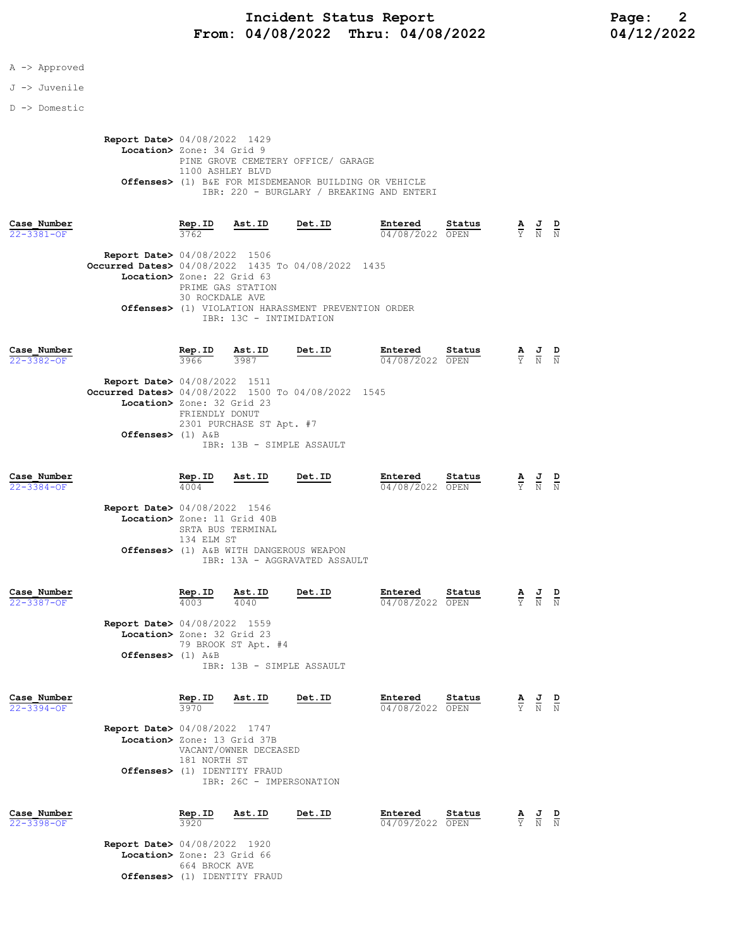## Incident Status Report<br>04/08/2022 Thru: 04/08/2022 104/12/2022 From:  $04/08/2022$  Thru:  $04/08/2022$

### A -> Approved

#### J -> Juvenile

D -> Domestic

Report Date> 04/08/2022 1429 Location> Zone: 34 Grid 9 PINE GROVE CEMETERY OFFICE/ GARAGE 1100 ASHLEY BLVD Offenses> (1) B&E FOR MISDEMEANOR BUILDING OR VEHICLE IBR: 220 - BURGLARY / BREAKING AND ENTERI

| Case Number<br>$22 - 3381 - OF$ |                                                                                                                            | Rep.ID<br>3762                       | Ast.ID                  | Det.ID                                              | Entered<br>04/08/2022 | Status<br>OPEN | А<br>$\overline{Y}$ | J<br>N | D<br>N |
|---------------------------------|----------------------------------------------------------------------------------------------------------------------------|--------------------------------------|-------------------------|-----------------------------------------------------|-----------------------|----------------|---------------------|--------|--------|
|                                 | <b>Report Date&gt; 04/08/2022 1506</b><br>Occurred Dates> 04/08/2022 1435 To 04/08/2022 1435<br>Location> Zone: 22 Grid 63 | PRIME GAS STATION<br>30 ROCKDALE AVE | IBR: 13C - INTIMIDATION | Offenses> (1) VIOLATION HARASSMENT PREVENTION ORDER |                       |                |                     |        |        |
| Case Number<br>$22 - 3382 - OF$ |                                                                                                                            | Rep.ID<br>3966                       | Ast.ID<br>3987          | Det.ID                                              | Entered<br>04/08/2022 | Status<br>OPEN | A<br>$\overline{Y}$ | 프<br>N | D      |

|                      | <b>Report Date&gt;</b> 04/08/2022 1511                       |
|----------------------|--------------------------------------------------------------|
|                      | <b>Occurred Dates&gt;</b> 04/08/2022 1500 To 04/08/2022 1545 |
|                      | Location> Zone: 32 Grid 23                                   |
|                      | FRIENDLY DONUT                                               |
|                      | 2301 PURCHASE ST Apt. #7                                     |
| Offenses $>$ (1) A&B |                                                              |
|                      | IBR: 13B - SIMPLE ASSAULT                                    |

| Case Number<br>$22 - 3384 - 0F$ |                                                                                                       | Rep.ID                          | Ast.ID                                                                             | Det.ID                        | Entered<br>04/08/2022 OPEN | Status | $\frac{\mathbf{A}}{\mathbf{Y}}$                                 | $\frac{J}{N}$                                                                                   | $\frac{D}{N}$ |
|---------------------------------|-------------------------------------------------------------------------------------------------------|---------------------------------|------------------------------------------------------------------------------------|-------------------------------|----------------------------|--------|-----------------------------------------------------------------|-------------------------------------------------------------------------------------------------|---------------|
|                                 | Report Date> 04/08/2022 1546<br>Location> Zone: 11 Grid 40B                                           | SRTA BUS TERMINAL<br>134 ELM ST | Offenses> (1) A&B WITH DANGEROUS WEAPON                                            | IBR: 13A - AGGRAVATED ASSAULT |                            |        |                                                                 |                                                                                                 |               |
| Case Number<br>$22 - 3387 - OF$ | <b>Report Date&gt;</b> 04/08/2022 1559<br>Location> Zone: 32 Grid 23<br>Offenses> $(1)$ A&B           | Rep.ID<br>4003                  | $\frac{\texttt{Ast.ID}}{4040}$<br>79 BROOK ST Apt. #4<br>IBR: 13B - SIMPLE ASSAULT | Det.ID                        | Entered<br>04/08/2022 OPEN | Status |                                                                 | $\frac{\mathbf{A}}{\mathbf{Y}}$ $\frac{\mathbf{J}}{\mathbf{N}}$ $\frac{\mathbf{D}}{\mathbf{N}}$ |               |
| Case Number<br>$22 - 3394 - OF$ | <b>Report Date&gt; 04/08/2022 1747</b><br>Location> Zone: 13 Grid 37B<br>Offenses> (1) IDENTITY FRAUD | Rep.ID<br>3970<br>181 NORTH ST  | Ast.ID<br>VACANT/OWNER DECEASED<br>IBR: 26C - IMPERSONATION                        | Det.ID                        | Entered<br>04/08/2022 OPEN | Status | $\frac{\mathbf{A}}{\mathbf{Y}}$ $\frac{\mathbf{J}}{\mathbf{N}}$ |                                                                                                 | $\frac{D}{N}$ |
| Case Number<br>$22 - 3398 - 0F$ | Report Date> 04/08/2022 1920<br>Location> Zone: 23 Grid 66                                            | Rep.ID<br>3920<br>664 BROCK AVE | Ast.ID                                                                             | Det.ID                        | Entered<br>04/09/2022 OPEN | Status | $\frac{\mathbf{A}}{\Upsilon}$                                   | $\frac{J}{N}$                                                                                   | $\frac{D}{N}$ |

Offenses> (1) IDENTITY FRAUD